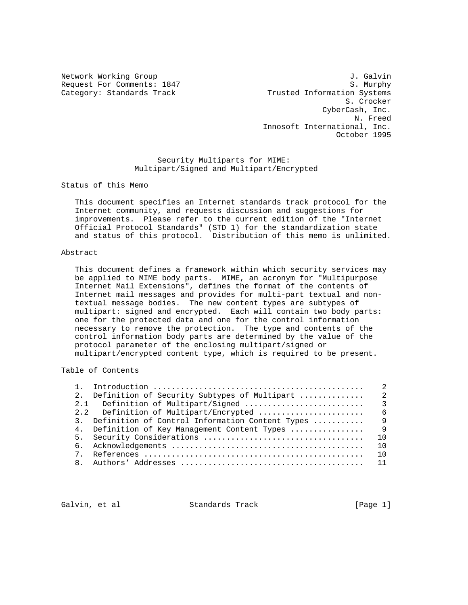Network Working Group 3. Galvin 3. Galvin Request For Comments: 1847 S. Murphy Category: Standards Track Trusted Information Systems S. Crocker CyberCash, Inc. N. Freed Innosoft International, Inc. October 1995

> Security Multiparts for MIME: Multipart/Signed and Multipart/Encrypted

Status of this Memo

 This document specifies an Internet standards track protocol for the Internet community, and requests discussion and suggestions for improvements. Please refer to the current edition of the "Internet Official Protocol Standards" (STD 1) for the standardization state and status of this protocol. Distribution of this memo is unlimited.

#### Abstract

 This document defines a framework within which security services may be applied to MIME body parts. MIME, an acronym for "Multipurpose Internet Mail Extensions", defines the format of the contents of Internet mail messages and provides for multi-part textual and non textual message bodies. The new content types are subtypes of multipart: signed and encrypted. Each will contain two body parts: one for the protected data and one for the control information necessary to remove the protection. The type and contents of the control information body parts are determined by the value of the protocol parameter of the enclosing multipart/signed or multipart/encrypted content type, which is required to be present.

Table of Contents

|                |                                                    | $\mathfrak{D}$ |
|----------------|----------------------------------------------------|----------------|
| 2.             | Definition of Security Subtypes of Multipart       | $\overline{2}$ |
|                |                                                    |                |
|                | 2.2 Definition of Multipart/Encrypted              | - 6            |
|                | 3. Definition of Control Information Content Types | 9              |
|                | 4. Definition of Key Management Content Types      | - 9            |
|                |                                                    | 1 O            |
|                |                                                    | 10             |
| 7 <sub>1</sub> |                                                    | 1 N            |
|                |                                                    |                |

Galvin, et al **Standards Track** [Page 1]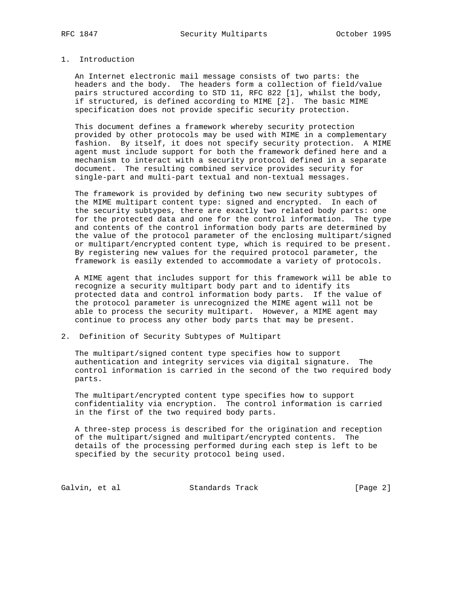## 1. Introduction

 An Internet electronic mail message consists of two parts: the headers and the body. The headers form a collection of field/value pairs structured according to STD 11, RFC 822 [1], whilst the body, if structured, is defined according to MIME [2]. The basic MIME specification does not provide specific security protection.

 This document defines a framework whereby security protection provided by other protocols may be used with MIME in a complementary fashion. By itself, it does not specify security protection. A MIME agent must include support for both the framework defined here and a mechanism to interact with a security protocol defined in a separate document. The resulting combined service provides security for single-part and multi-part textual and non-textual messages.

 The framework is provided by defining two new security subtypes of the MIME multipart content type: signed and encrypted. In each of the security subtypes, there are exactly two related body parts: one for the protected data and one for the control information. The type and contents of the control information body parts are determined by the value of the protocol parameter of the enclosing multipart/signed or multipart/encrypted content type, which is required to be present. By registering new values for the required protocol parameter, the framework is easily extended to accommodate a variety of protocols.

 A MIME agent that includes support for this framework will be able to recognize a security multipart body part and to identify its protected data and control information body parts. If the value of the protocol parameter is unrecognized the MIME agent will not be able to process the security multipart. However, a MIME agent may continue to process any other body parts that may be present.

### 2. Definition of Security Subtypes of Multipart

 The multipart/signed content type specifies how to support authentication and integrity services via digital signature. The control information is carried in the second of the two required body parts.

 The multipart/encrypted content type specifies how to support confidentiality via encryption. The control information is carried in the first of the two required body parts.

 A three-step process is described for the origination and reception of the multipart/signed and multipart/encrypted contents. The details of the processing performed during each step is left to be specified by the security protocol being used.

Galvin, et al Standards Track [Page 2]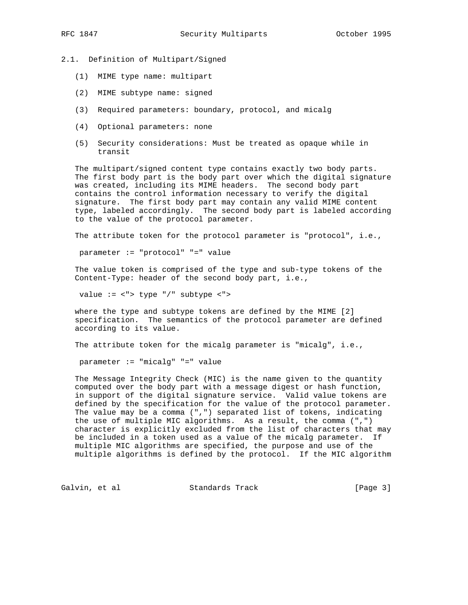2.1. Definition of Multipart/Signed

- (1) MIME type name: multipart
- (2) MIME subtype name: signed
- (3) Required parameters: boundary, protocol, and micalg
- (4) Optional parameters: none
- (5) Security considerations: Must be treated as opaque while in transit

 The multipart/signed content type contains exactly two body parts. The first body part is the body part over which the digital signature was created, including its MIME headers. The second body part contains the control information necessary to verify the digital signature. The first body part may contain any valid MIME content type, labeled accordingly. The second body part is labeled according to the value of the protocol parameter.

The attribute token for the protocol parameter is "protocol", i.e.,

parameter := "protocol" "=" value

 The value token is comprised of the type and sub-type tokens of the Content-Type: header of the second body part, i.e.,

value := <"> type "/" subtype <">

 where the type and subtype tokens are defined by the MIME [2] specification. The semantics of the protocol parameter are defined according to its value.

The attribute token for the micalg parameter is "micalg", i.e.,

parameter := "micalg" "=" value

 The Message Integrity Check (MIC) is the name given to the quantity computed over the body part with a message digest or hash function, in support of the digital signature service. Valid value tokens are defined by the specification for the value of the protocol parameter. The value may be a comma (",") separated list of tokens, indicating the use of multiple MIC algorithms. As a result, the comma (",") character is explicitly excluded from the list of characters that may be included in a token used as a value of the micalg parameter. If multiple MIC algorithms are specified, the purpose and use of the multiple algorithms is defined by the protocol. If the MIC algorithm

Galvin, et al Standards Track [Page 3]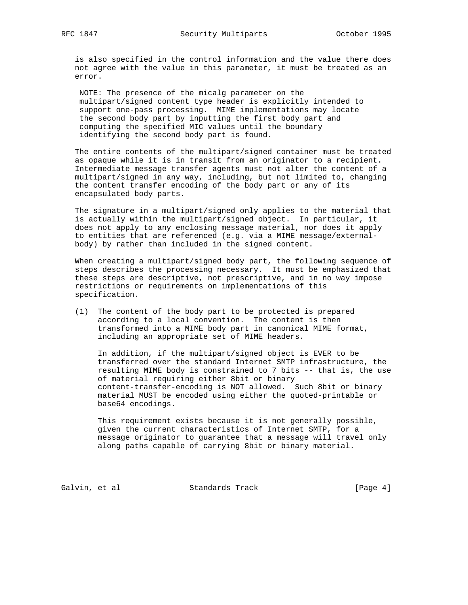is also specified in the control information and the value there does not agree with the value in this parameter, it must be treated as an error.

 NOTE: The presence of the micalg parameter on the multipart/signed content type header is explicitly intended to support one-pass processing. MIME implementations may locate the second body part by inputting the first body part and computing the specified MIC values until the boundary identifying the second body part is found.

 The entire contents of the multipart/signed container must be treated as opaque while it is in transit from an originator to a recipient. Intermediate message transfer agents must not alter the content of a multipart/signed in any way, including, but not limited to, changing the content transfer encoding of the body part or any of its encapsulated body parts.

 The signature in a multipart/signed only applies to the material that is actually within the multipart/signed object. In particular, it does not apply to any enclosing message material, nor does it apply to entities that are referenced (e.g. via a MIME message/external body) by rather than included in the signed content.

 When creating a multipart/signed body part, the following sequence of steps describes the processing necessary. It must be emphasized that these steps are descriptive, not prescriptive, and in no way impose restrictions or requirements on implementations of this specification.

 (1) The content of the body part to be protected is prepared according to a local convention. The content is then transformed into a MIME body part in canonical MIME format, including an appropriate set of MIME headers.

 In addition, if the multipart/signed object is EVER to be transferred over the standard Internet SMTP infrastructure, the resulting MIME body is constrained to 7 bits -- that is, the use of material requiring either 8bit or binary content-transfer-encoding is NOT allowed. Such 8bit or binary material MUST be encoded using either the quoted-printable or base64 encodings.

 This requirement exists because it is not generally possible, given the current characteristics of Internet SMTP, for a message originator to guarantee that a message will travel only along paths capable of carrying 8bit or binary material.

Galvin, et al Standards Track [Page 4]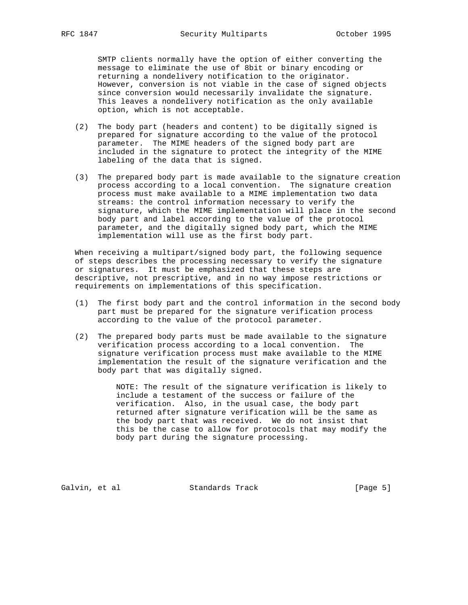SMTP clients normally have the option of either converting the message to eliminate the use of 8bit or binary encoding or returning a nondelivery notification to the originator. However, conversion is not viable in the case of signed objects since conversion would necessarily invalidate the signature. This leaves a nondelivery notification as the only available option, which is not acceptable.

- (2) The body part (headers and content) to be digitally signed is prepared for signature according to the value of the protocol parameter. The MIME headers of the signed body part are included in the signature to protect the integrity of the MIME labeling of the data that is signed.
- (3) The prepared body part is made available to the signature creation process according to a local convention. The signature creation process must make available to a MIME implementation two data streams: the control information necessary to verify the signature, which the MIME implementation will place in the second body part and label according to the value of the protocol parameter, and the digitally signed body part, which the MIME implementation will use as the first body part.

 When receiving a multipart/signed body part, the following sequence of steps describes the processing necessary to verify the signature or signatures. It must be emphasized that these steps are descriptive, not prescriptive, and in no way impose restrictions or requirements on implementations of this specification.

- (1) The first body part and the control information in the second body part must be prepared for the signature verification process according to the value of the protocol parameter.
- (2) The prepared body parts must be made available to the signature verification process according to a local convention. The signature verification process must make available to the MIME implementation the result of the signature verification and the body part that was digitally signed.

 NOTE: The result of the signature verification is likely to include a testament of the success or failure of the verification. Also, in the usual case, the body part returned after signature verification will be the same as the body part that was received. We do not insist that this be the case to allow for protocols that may modify the body part during the signature processing.

Galvin, et al Standards Track [Page 5]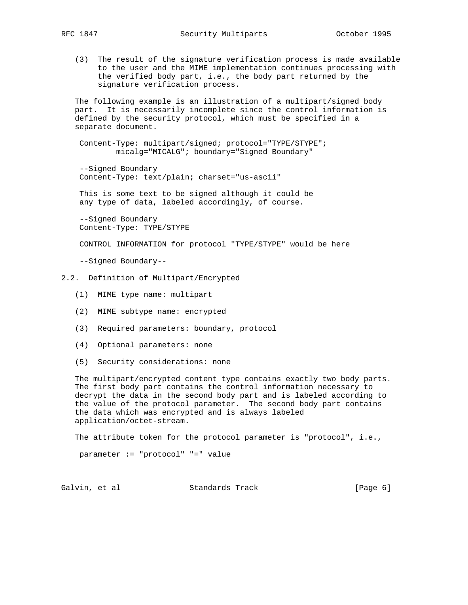(3) The result of the signature verification process is made available to the user and the MIME implementation continues processing with the verified body part, i.e., the body part returned by the signature verification process.

 The following example is an illustration of a multipart/signed body part. It is necessarily incomplete since the control information is defined by the security protocol, which must be specified in a separate document.

 Content-Type: multipart/signed; protocol="TYPE/STYPE"; micalg="MICALG"; boundary="Signed Boundary"

 --Signed Boundary Content-Type: text/plain; charset="us-ascii"

 This is some text to be signed although it could be any type of data, labeled accordingly, of course.

 --Signed Boundary Content-Type: TYPE/STYPE

CONTROL INFORMATION for protocol "TYPE/STYPE" would be here

--Signed Boundary--

- 2.2. Definition of Multipart/Encrypted
	- (1) MIME type name: multipart
	- (2) MIME subtype name: encrypted
	- (3) Required parameters: boundary, protocol
	- (4) Optional parameters: none
	- (5) Security considerations: none

 The multipart/encrypted content type contains exactly two body parts. The first body part contains the control information necessary to decrypt the data in the second body part and is labeled according to the value of the protocol parameter. The second body part contains the data which was encrypted and is always labeled application/octet-stream.

The attribute token for the protocol parameter is "protocol", i.e.,

parameter := "protocol" "=" value

Galvin, et al **Standards Track** (Page 6)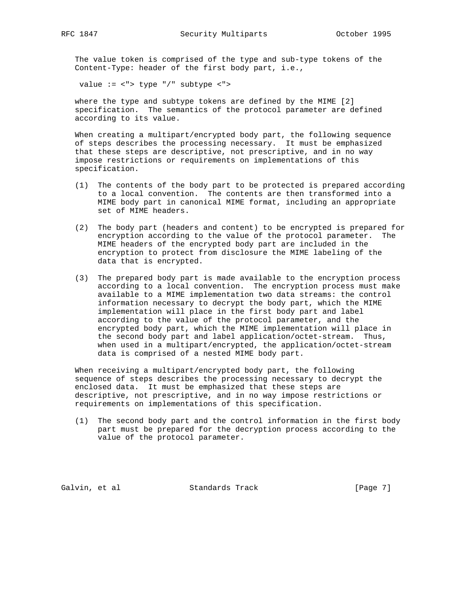The value token is comprised of the type and sub-type tokens of the Content-Type: header of the first body part, i.e.,

value := <"> type "/" subtype <">

 where the type and subtype tokens are defined by the MIME [2] specification. The semantics of the protocol parameter are defined according to its value.

 When creating a multipart/encrypted body part, the following sequence of steps describes the processing necessary. It must be emphasized that these steps are descriptive, not prescriptive, and in no way impose restrictions or requirements on implementations of this specification.

- (1) The contents of the body part to be protected is prepared according to a local convention. The contents are then transformed into a MIME body part in canonical MIME format, including an appropriate set of MIME headers.
- (2) The body part (headers and content) to be encrypted is prepared for encryption according to the value of the protocol parameter. The MIME headers of the encrypted body part are included in the encryption to protect from disclosure the MIME labeling of the data that is encrypted.
- (3) The prepared body part is made available to the encryption process according to a local convention. The encryption process must make available to a MIME implementation two data streams: the control information necessary to decrypt the body part, which the MIME implementation will place in the first body part and label according to the value of the protocol parameter, and the encrypted body part, which the MIME implementation will place in the second body part and label application/octet-stream. Thus, when used in a multipart/encrypted, the application/octet-stream data is comprised of a nested MIME body part.

 When receiving a multipart/encrypted body part, the following sequence of steps describes the processing necessary to decrypt the enclosed data. It must be emphasized that these steps are descriptive, not prescriptive, and in no way impose restrictions or requirements on implementations of this specification.

 (1) The second body part and the control information in the first body part must be prepared for the decryption process according to the value of the protocol parameter.

Galvin, et al **Standards Track** [Page 7]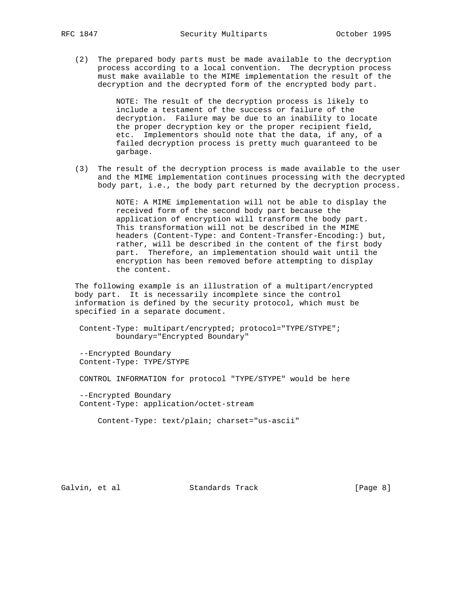(2) The prepared body parts must be made available to the decryption process according to a local convention. The decryption process must make available to the MIME implementation the result of the decryption and the decrypted form of the encrypted body part.

> NOTE: The result of the decryption process is likely to include a testament of the success or failure of the decryption. Failure may be due to an inability to locate the proper decryption key or the proper recipient field, etc. Implementors should note that the data, if any, of a failed decryption process is pretty much guaranteed to be garbage.

 (3) The result of the decryption process is made available to the user and the MIME implementation continues processing with the decrypted body part, i.e., the body part returned by the decryption process.

> NOTE: A MIME implementation will not be able to display the received form of the second body part because the application of encryption will transform the body part. This transformation will not be described in the MIME headers (Content-Type: and Content-Transfer-Encoding:) but, rather, will be described in the content of the first body part. Therefore, an implementation should wait until the encryption has been removed before attempting to display the content.

 The following example is an illustration of a multipart/encrypted body part. It is necessarily incomplete since the control information is defined by the security protocol, which must be specified in a separate document.

 Content-Type: multipart/encrypted; protocol="TYPE/STYPE"; boundary="Encrypted Boundary"

 --Encrypted Boundary Content-Type: TYPE/STYPE

CONTROL INFORMATION for protocol "TYPE/STYPE" would be here

 --Encrypted Boundary Content-Type: application/octet-stream

Content-Type: text/plain; charset="us-ascii"

Galvin, et al Standards Track [Page 8]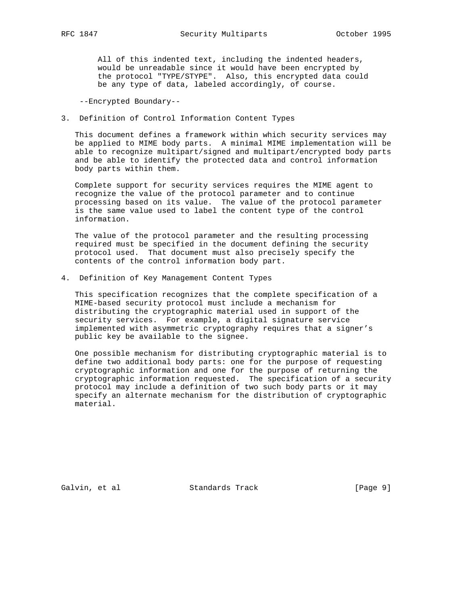All of this indented text, including the indented headers, would be unreadable since it would have been encrypted by the protocol "TYPE/STYPE". Also, this encrypted data could be any type of data, labeled accordingly, of course.

--Encrypted Boundary--

3. Definition of Control Information Content Types

 This document defines a framework within which security services may be applied to MIME body parts. A minimal MIME implementation will be able to recognize multipart/signed and multipart/encrypted body parts and be able to identify the protected data and control information body parts within them.

 Complete support for security services requires the MIME agent to recognize the value of the protocol parameter and to continue processing based on its value. The value of the protocol parameter is the same value used to label the content type of the control information.

 The value of the protocol parameter and the resulting processing required must be specified in the document defining the security protocol used. That document must also precisely specify the contents of the control information body part.

4. Definition of Key Management Content Types

 This specification recognizes that the complete specification of a MIME-based security protocol must include a mechanism for distributing the cryptographic material used in support of the security services. For example, a digital signature service implemented with asymmetric cryptography requires that a signer's public key be available to the signee.

 One possible mechanism for distributing cryptographic material is to define two additional body parts: one for the purpose of requesting cryptographic information and one for the purpose of returning the cryptographic information requested. The specification of a security protocol may include a definition of two such body parts or it may specify an alternate mechanism for the distribution of cryptographic material.

Galvin, et al Standards Track [Page 9]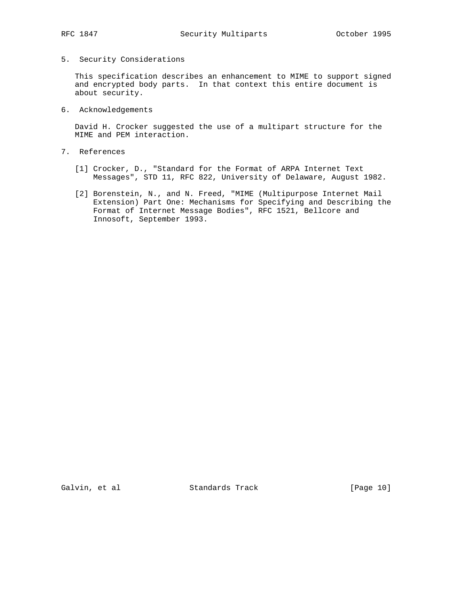# 5. Security Considerations

 This specification describes an enhancement to MIME to support signed and encrypted body parts. In that context this entire document is about security.

6. Acknowledgements

 David H. Crocker suggested the use of a multipart structure for the MIME and PEM interaction.

- 7. References
	- [1] Crocker, D., "Standard for the Format of ARPA Internet Text Messages", STD 11, RFC 822, University of Delaware, August 1982.
	- [2] Borenstein, N., and N. Freed, "MIME (Multipurpose Internet Mail Extension) Part One: Mechanisms for Specifying and Describing the Format of Internet Message Bodies", RFC 1521, Bellcore and Innosoft, September 1993.

Galvin, et al Standards Track [Page 10]